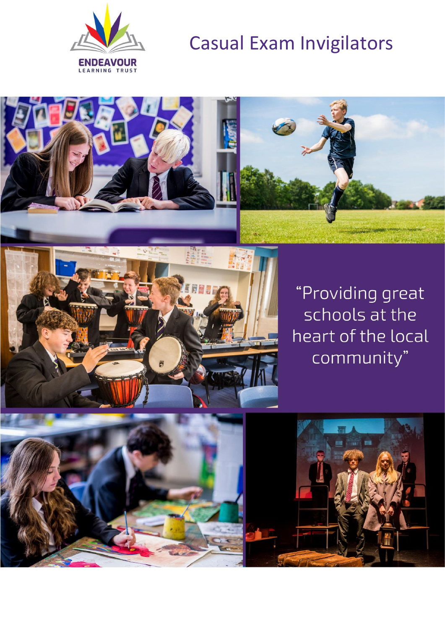

# Casual Exam Invigilators





"Providing great schools at the heart of the local community"

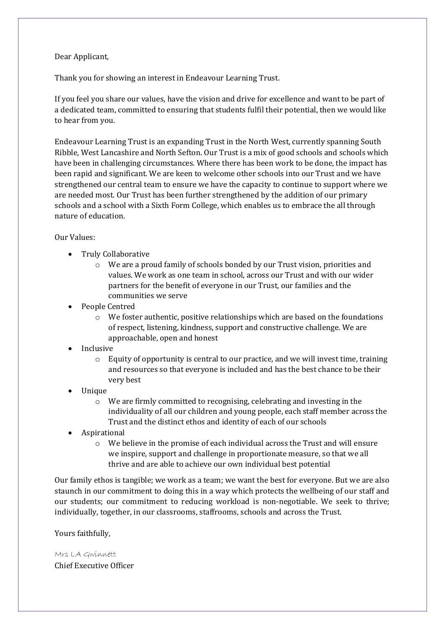#### Dear Applicant,

Thank you for showing an interest in Endeavour Learning Trust.

If you feel you share our values, have the vision and drive for excellence and want to be part of a dedicated team, committed to ensuring that students fulfil their potential, then we would like to hear from you.

Endeavour Learning Trust is an expanding Trust in the North West, currently spanning South Ribble, West Lancashire and North Sefton. Our Trust is a mix of good schools and schools which have been in challenging circumstances. Where there has been work to be done, the impact has been rapid and significant. We are keen to welcome other schools into our Trust and we have strengthened our central team to ensure we have the capacity to continue to support where we are needed most. Our Trust has been further strengthened by the addition of our primary schools and a school with a Sixth Form College, which enables us to embrace the all through nature of education.

## Our Values:

- Truly Collaborative
	- o We are a proud family of schools bonded by our Trust vision, priorities and values. We work as one team in school, across our Trust and with our wider partners for the benefit of everyone in our Trust, our families and the communities we serve
- People Centred
	- o We foster authentic, positive relationships which are based on the foundations of respect, listening, kindness, support and constructive challenge. We are approachable, open and honest
- Inclusive
	- $\circ$  Equity of opportunity is central to our practice, and we will invest time, training and resources so that everyone is included and has the best chance to be their very best
- Unique
	- o We are firmly committed to recognising, celebrating and investing in the individuality of all our children and young people, each staff member across the Trust and the distinct ethos and identity of each of our schools
- **Aspirational** 
	- o We believe in the promise of each individual across the Trust and will ensure we inspire, support and challenge in proportionate measure, so that we all thrive and are able to achieve our own individual best potential

Our family ethos is tangible; we work as a team; we want the best for everyone. But we are also staunch in our commitment to doing this in a way which protects the wellbeing of our staff and our students; our commitment to reducing workload is non-negotiable. We seek to thrive; individually, together, in our classrooms, staffrooms, schools and across the Trust.

Yours faithfully,

Mrs LA Gwinnett Chief Executive Officer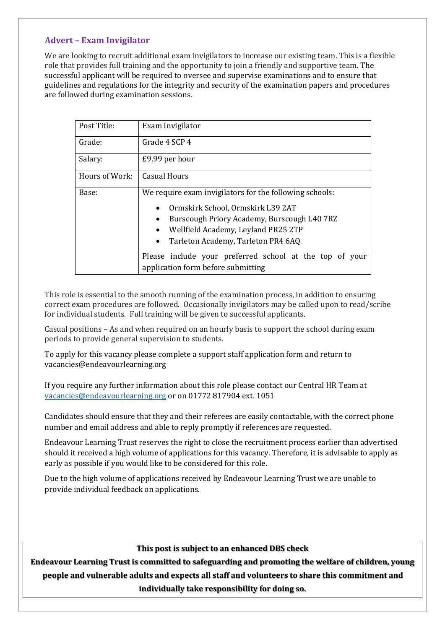## **Advert – Exam Invigilator**

We are looking to recruit additional exam invigilators to increase our existing team. This is a flexible role that provides full training and the opportunity to join a friendly and supportive team. The successful applicant will be required to oversee and supervise examinations and to ensure that guidelines and regulations for the integrity and security of the examination papers and procedures are followed during examination sessions.

| Post Title:    | Exam Invigilator                                                                                                                                                                                                                                                                                                                       |
|----------------|----------------------------------------------------------------------------------------------------------------------------------------------------------------------------------------------------------------------------------------------------------------------------------------------------------------------------------------|
| Grade:         | Grade 4 SCP 4                                                                                                                                                                                                                                                                                                                          |
| Salary:        | £9.99 per hour                                                                                                                                                                                                                                                                                                                         |
| Hours of Work: | <b>Casual Hours</b>                                                                                                                                                                                                                                                                                                                    |
| Base:          | We require exam invigilators for the following schools:<br>Ormskirk School, Ormskirk L39 2AT<br>Burscough Priory Academy, Burscough L40 7RZ<br>Wellfield Academy, Leyland PR25 2TP<br>Tarleton Academy, Tarleton PR4 6AQ<br>$\bullet$<br>Please include your preferred school at the top of your<br>application form before submitting |

This role is essential to the smooth running of the examination process, in addition to ensuring correct exam procedures are followed. Occasionally invigilators may be called upon to read/scribe for individual students. Full training will be given to successful applicants.

Casual positions – As and when required on an hourly basis to support the school during exam periods to provide general supervision to students.

To apply for this vacancy please complete a support staff application form and return to vacancies@endeavourlearning.org

If you require any further information about this role please contact our Central HR Team at [vacancies@endeavourlearning.org](mailto:vacancies@endeavourlearning.org) or on 01772 817904 ext. 1051

Candidates should ensure that they and their referees are easily contactable, with the correct phone number and email address and able to reply promptly if references are requested.

Endeavour Learning Trust reserves the right to close the recruitment process earlier than advertised should it received a high volume of applications for this vacancy. Therefore, it is advisable to apply as early as possible if you would like to be considered for this role.

Due to the high volume of applications received by Endeavour Learning Trust we are unable to provide individual feedback on applications.

## **This post is subject to an enhanced DBS check**

**Endeavour Learning Trust is committed to safeguarding and promoting the welfare of children, young people and vulnerable adults and expects all staff and volunteers to share this commitment and individually take responsibility for doing so.**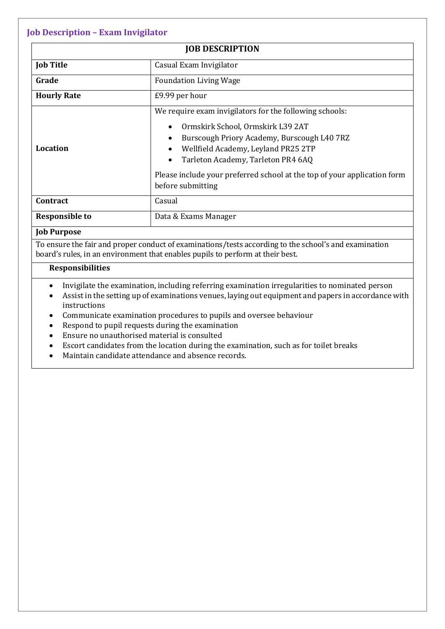## **Job Description – Exam Invigilator**

| <b>JOB DESCRIPTION</b>                                                                                                                                                                  |                                                                          |  |  |  |
|-----------------------------------------------------------------------------------------------------------------------------------------------------------------------------------------|--------------------------------------------------------------------------|--|--|--|
| <b>Job Title</b>                                                                                                                                                                        | Casual Exam Invigilator                                                  |  |  |  |
| Grade                                                                                                                                                                                   | <b>Foundation Living Wage</b>                                            |  |  |  |
| <b>Hourly Rate</b>                                                                                                                                                                      | £9.99 per hour                                                           |  |  |  |
|                                                                                                                                                                                         | We require exam invigilators for the following schools:                  |  |  |  |
|                                                                                                                                                                                         | Ormskirk School, Ormskirk L39 2AT                                        |  |  |  |
|                                                                                                                                                                                         | Burscough Priory Academy, Burscough L40 7RZ                              |  |  |  |
| Location                                                                                                                                                                                | Wellfield Academy, Leyland PR25 2TP                                      |  |  |  |
|                                                                                                                                                                                         | Tarleton Academy, Tarleton PR4 6AQ<br>$\bullet$                          |  |  |  |
|                                                                                                                                                                                         | Please include your preferred school at the top of your application form |  |  |  |
|                                                                                                                                                                                         | before submitting                                                        |  |  |  |
| Contract                                                                                                                                                                                | Casual                                                                   |  |  |  |
| <b>Responsible to</b>                                                                                                                                                                   | Data & Exams Manager                                                     |  |  |  |
| <b>Job Purpose</b>                                                                                                                                                                      |                                                                          |  |  |  |
| To ensure the fair and proper conduct of examinations/tests according to the school's and examination<br>board's rules, in an environment that enables pupils to perform at their best. |                                                                          |  |  |  |

## **Responsibilities**

- Invigilate the examination, including referring examination irregularities to nominated person
- Assist in the setting up of examinations venues, laying out equipment and papers in accordance with instructions
- Communicate examination procedures to pupils and oversee behaviour
- Respond to pupil requests during the examination
- Ensure no unauthorised material is consulted
- Escort candidates from the location during the examination, such as for toilet breaks
- Maintain candidate attendance and absence records.